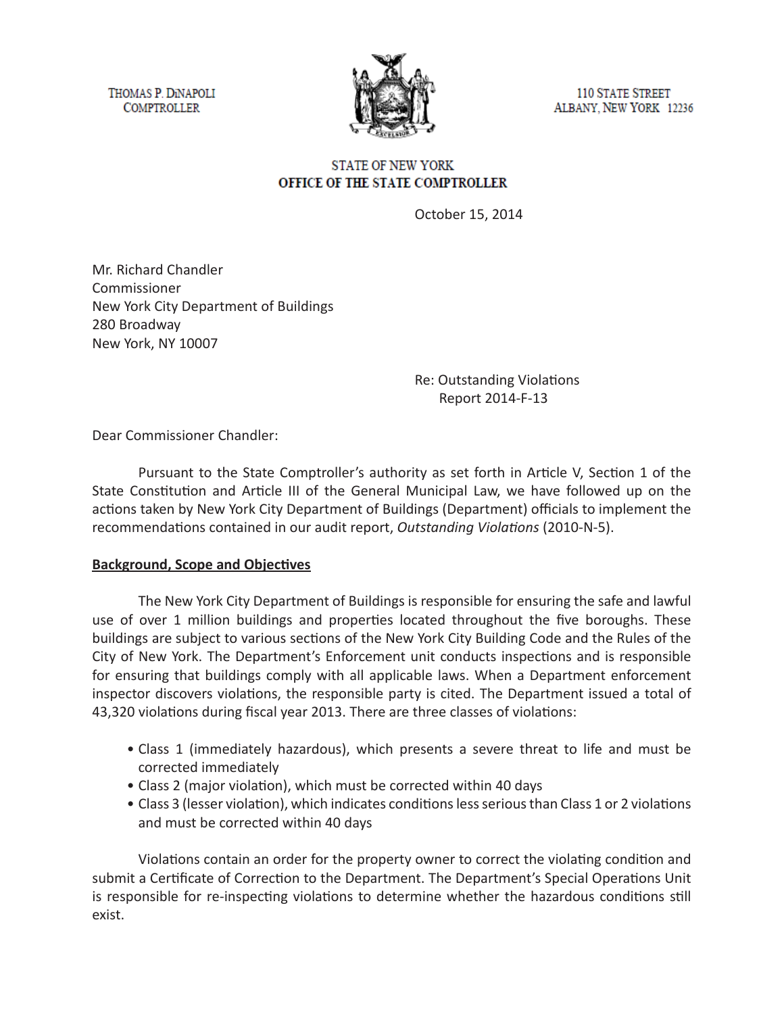THOMAS P. DINAPOLI **COMPTROLLER** 



**110 STATE STREET** ALBANY, NEW YORK 12236

### **STATE OF NEW YORK** OFFICE OF THE STATE COMPTROLLER

October 15, 2014

Mr. Richard Chandler Commissioner New York City Department of Buildings 280 Broadway New York, NY 10007

> Re: Outstanding Violations Report 2014-F-13

Dear Commissioner Chandler:

Pursuant to the State Comptroller's authority as set forth in Article V, Section 1 of the State Constitution and Article III of the General Municipal Law, we have followed up on the actions taken by New York City Department of Buildings (Department) officials to implement the recommendations contained in our audit report, *Outstanding Violations* (2010-N-5).

#### **Background, Scope and Objectives**

The New York City Department of Buildings is responsible for ensuring the safe and lawful use of over 1 million buildings and properties located throughout the five boroughs. These buildings are subject to various sections of the New York City Building Code and the Rules of the City of New York. The Department's Enforcement unit conducts inspections and is responsible for ensuring that buildings comply with all applicable laws. When a Department enforcement inspector discovers violations, the responsible party is cited. The Department issued a total of 43,320 violations during fiscal year 2013. There are three classes of violations:

- Class 1 (immediately hazardous), which presents a severe threat to life and must be corrected immediately
- Class 2 (major violation), which must be corrected within 40 days
- Class 3 (lesser violation), which indicates conditions less serious than Class 1 or 2 violations and must be corrected within 40 days

Violations contain an order for the property owner to correct the violating condition and submit a Certificate of Correction to the Department. The Department's Special Operations Unit is responsible for re-inspecting violations to determine whether the hazardous conditions still exist.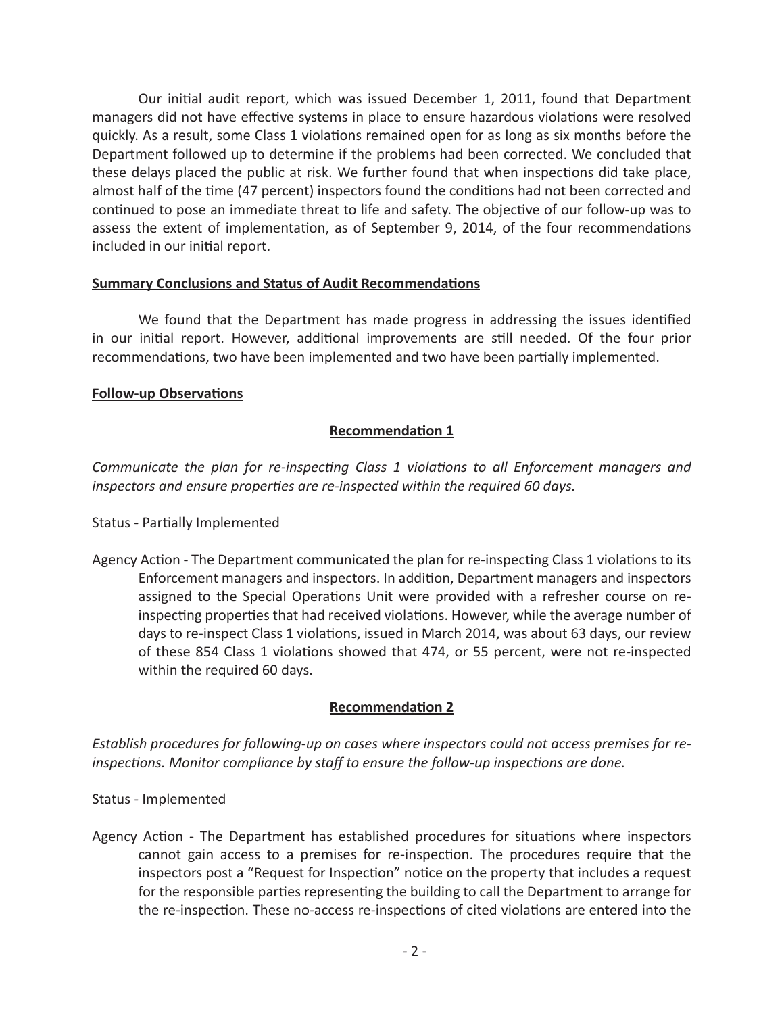Our initial audit report, which was issued December 1, 2011, found that Department managers did not have effective systems in place to ensure hazardous violations were resolved quickly. As a result, some Class 1 violations remained open for as long as six months before the Department followed up to determine if the problems had been corrected. We concluded that these delays placed the public at risk. We further found that when inspections did take place, almost half of the time (47 percent) inspectors found the conditions had not been corrected and continued to pose an immediate threat to life and safety. The objective of our follow-up was to assess the extent of implementation, as of September 9, 2014, of the four recommendations included in our initial report.

#### **Summary Conclusions and Status of Audit Recommendations**

We found that the Department has made progress in addressing the issues identified in our initial report. However, additional improvements are still needed. Of the four prior recommendations, two have been implemented and two have been partially implemented.

### **Follow-up Observations**

## **Recommendation 1**

*Communicate the plan for re-inspecting Class 1 violations to all Enforcement managers and inspectors and ensure properties are re-inspected within the required 60 days.*

Status - Partially Implemented

Agency Action - The Department communicated the plan for re-inspecting Class 1 violations to its Enforcement managers and inspectors. In addition, Department managers and inspectors assigned to the Special Operations Unit were provided with a refresher course on reinspecting properties that had received violations. However, while the average number of days to re-inspect Class 1 violations, issued in March 2014, was about 63 days, our review of these 854 Class 1 violations showed that 474, or 55 percent, were not re-inspected within the required 60 days.

## **Recommendation 2**

*Establish procedures for following-up on cases where inspectors could not access premises for reinspections. Monitor compliance by staff to ensure the follow-up inspections are done.*

Status - Implemented

Agency Action - The Department has established procedures for situations where inspectors cannot gain access to a premises for re-inspection. The procedures require that the inspectors post a "Request for Inspection" notice on the property that includes a request for the responsible parties representing the building to call the Department to arrange for the re-inspection. These no-access re-inspections of cited violations are entered into the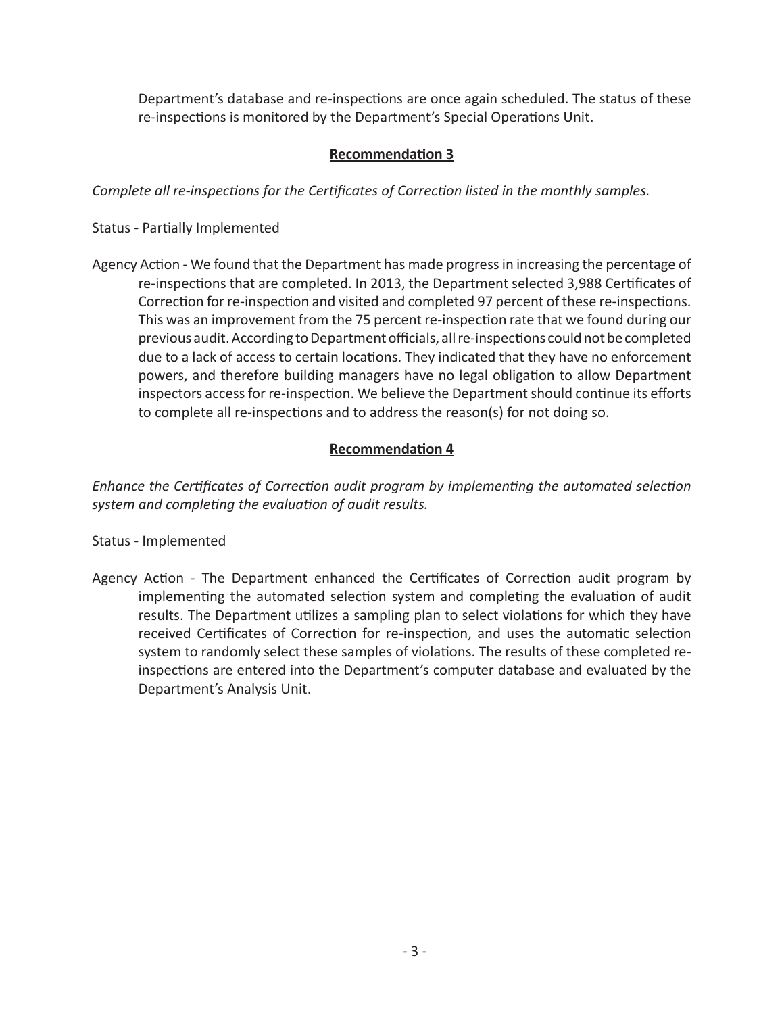Department's database and re-inspections are once again scheduled. The status of these re-inspections is monitored by the Department's Special Operations Unit.

# **Recommendation 3**

*Complete all re-inspections for the Certificates of Correction listed in the monthly samples.*

Status - Partially Implemented

Agency Action - We found that the Department has made progress in increasing the percentage of re-inspections that are completed. In 2013, the Department selected 3,988 Certificates of Correction for re-inspection and visited and completed 97 percent of these re-inspections. This was an improvement from the 75 percent re-inspection rate that we found during our previous audit. According to Department officials, all re-inspections could not be completed due to a lack of access to certain locations. They indicated that they have no enforcement powers, and therefore building managers have no legal obligation to allow Department inspectors access for re-inspection. We believe the Department should continue its efforts to complete all re-inspections and to address the reason(s) for not doing so.

## **Recommendation 4**

*Enhance the Certificates of Correction audit program by implementing the automated selection system and completing the evaluation of audit results.* 

#### Status - Implemented

Agency Action - The Department enhanced the Certificates of Correction audit program by implementing the automated selection system and completing the evaluation of audit results. The Department utilizes a sampling plan to select violations for which they have received Certificates of Correction for re-inspection, and uses the automatic selection system to randomly select these samples of violations. The results of these completed reinspections are entered into the Department's computer database and evaluated by the Department's Analysis Unit.